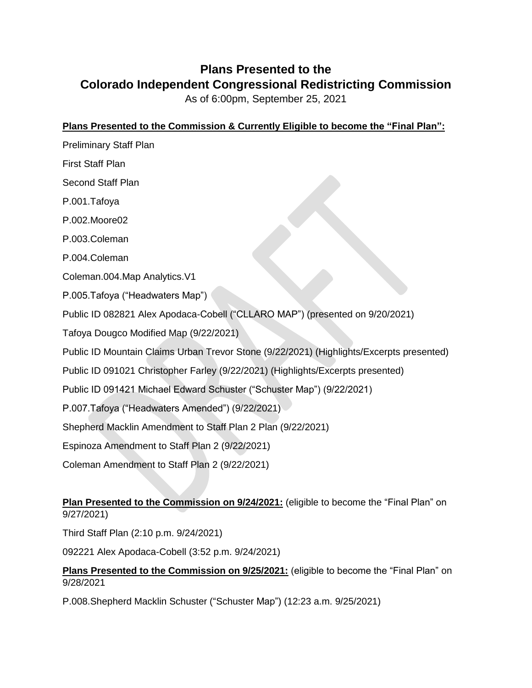## **Plans Presented to the Colorado Independent Congressional Redistricting Commission**

As of 6:00pm, September 25, 2021

## **Plans Presented to the Commission & Currently Eligible to become the "Final Plan":**

Preliminary Staff Plan First Staff Plan Second Staff Plan P.001.Tafoya P.002.Moore02 P.003.Coleman P.004.Coleman Coleman.004.Map Analytics.V1 P.005.Tafoya ("Headwaters Map") Public ID 082821 Alex Apodaca-Cobell ("CLLARO MAP") (presented on 9/20/2021) Tafoya Dougco Modified Map (9/22/2021) Public ID Mountain Claims Urban Trevor Stone (9/22/2021) (Highlights/Excerpts presented) Public ID 091021 Christopher Farley (9/22/2021) (Highlights/Excerpts presented) Public ID 091421 Michael Edward Schuster ("Schuster Map") (9/22/2021) P.007.Tafoya ("Headwaters Amended") (9/22/2021) Shepherd Macklin Amendment to Staff Plan 2 Plan (9/22/2021) Espinoza Amendment to Staff Plan 2 (9/22/2021) Coleman Amendment to Staff Plan 2 (9/22/2021) **Plan Presented to the Commission on 9/24/2021:** (eligible to become the "Final Plan" on 9/27/2021)

Third Staff Plan (2:10 p.m. 9/24/2021)

092221 Alex Apodaca-Cobell (3:52 p.m. 9/24/2021)

## **Plans Presented to the Commission on 9/25/2021:** (eligible to become the "Final Plan" on 9/28/2021

P.008.Shepherd Macklin Schuster ("Schuster Map") (12:23 a.m. 9/25/2021)